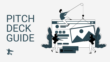# PITCH DECK GUIDE



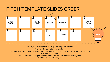This is just a starting point: You may have unique alternations There are "topics" (units of information) Some topics may require multiple slides - but, for the initial meeting, no more than 14-16 slides - and/or demo Use realistic slide titles Without discussion, this presentation should take less than 1/3 of the meeting time Dont't like the order? Change it!

- 
- 
- 

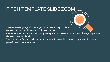## PITCH TEMPLATE SLIDE ZOOM

The common language of most Angel/VC pitches is the pitch deck. Here is what you should be sure to address in yours.

Remember that the pitch deck is a companion piece to a presentation, so resist the urge to pack each slide with data and detail.

This is a vehicle for you to talk about the company in a way that makes your presentation more powerful and more memorable.



- 
-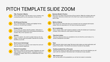# PITCH TEMPLATE SLIDE ZOOM



#### **Title, Presenter & Mantra**

This is the title page. It has the name of your company, who is presenting and a one line description of what you do.

### $2.$

 $3.$ 

### 30-60 Second Overview

Give a brief description of startup and highlight the key points your are planning to present.

#### Problem & Pain

This is where you clearly state the problem. Particulars of how this problem impacts real world people/businesses are valuable. Why is this important now?



This is the solution. You want to explain what you do very clearly, in as few words as possible. Describe the concrete benefits you provide.

### Secret sauce (technology)

Tell what makes you so special, what makes this work and what your (secret) insights are.

#### **Market & Competition**

Most show a large and growing market. Preferably with third party validation of size and growth. Competition is good, it validates the market. Show how you differentiate from your competition.



#### **Business Model & Traction**

Show how you make money and show off your traction. Make the numbers clear and meaningful. Add some context next to the chart if you've got some great stats you want to add.



 $9.$ 

#### **Metrics & Money**

What are the key metrics that drive your business? (can be combined with traction slides). What are expectations for the future (include assumption)?



#### Go to market plan

Direct, channel, OEM, viral? Customer adoption is often the hardest part of growing a company. What method for what market at what stage?



#### Time-line & status

What key milestones have you completed so far and what the current status of i.e. product development and sales?



 $12.$ 

 $13.$ 

#### Team

Most important slide at early stage! Talk about what makes your team particularly well suited to the problem. This should only be about founders (or key people).



Tell how much money you need, what you are going to use if for and milestone you will reach with the investment. Remember also to include pre-money valuation.

#### Why invest in us?

Sum up key points of the presentation you will like the investor to remember.

 $5.$ 

 $4.$ 

 $6.$